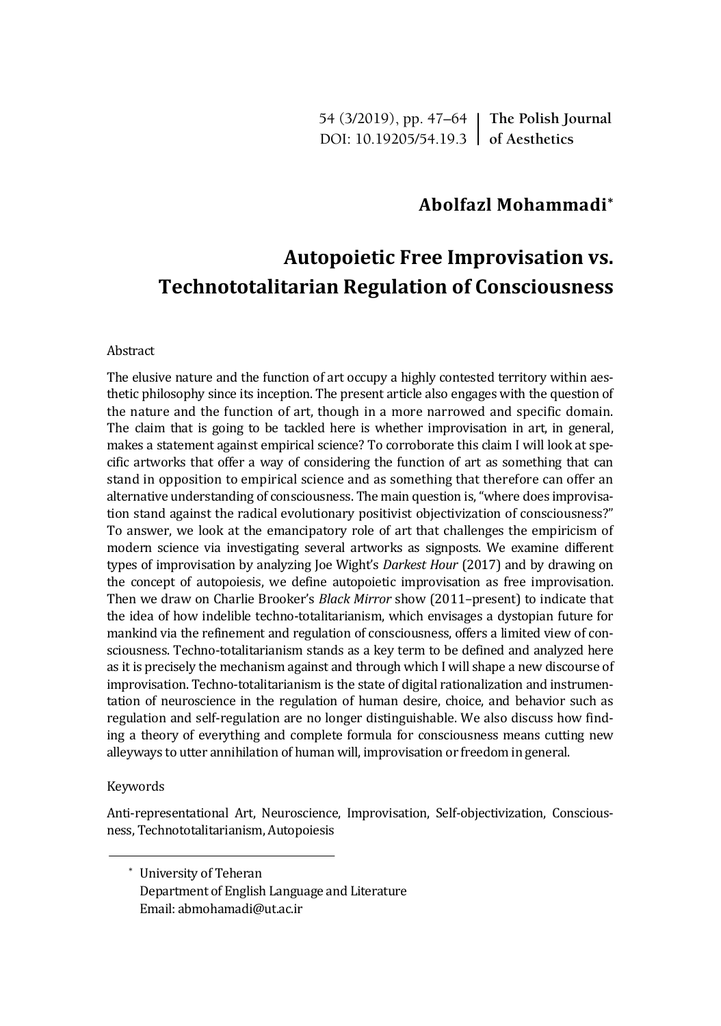54 (3/2019), pp. 47–64 **The Polish Journal** DOI: 10.19205/54.19.3 **of Aesthetics**

## **Abolfazl Mohammadi\***

# **Autopoietic Free Improvisation vs. Technototalitarian Regulation of Consciousness**

#### Abstract

The elusive nature and the function of art occupy a highly contested territory within aesthetic philosophy since its inception. The present article also engages with the question of the nature and the function of art, though in a more narrowed and specific domain. The claim that is going to be tackled here is whether improvisation in art, in general, makes a statement against empirical science? To corroborate this claim I will look at specific artworks that offer a way of considering the function of art as something that can stand in opposition to empirical science and as something that therefore can offer an alternative understanding of consciousness. The main question is, "where does improvisation stand against the radical evolutionary positivist objectivization of consciousness?" To answer, we look at the emancipatory role of art that challenges the empiricism of modern science via investigating several artworks as signposts. We examine different types of improvisation by analyzing Joe Wight's *Darkest Hour* (2017) and by drawing on the concept of autopoiesis, we define autopoietic improvisation as free improvisation. Then we draw on Charlie Brooker's *Black Mirror* show (2011–present) to indicate that the idea of how indelible techno-totalitarianism, which envisages a dystopian future for mankind via the refinement and regulation of consciousness, offers a limited view of consciousness. Techno-totalitarianism stands as a key term to be defined and analyzed here as it is precisely the mechanism against and through which I will shape a new discourse of improvisation. Techno-totalitarianism is the state of digital rationalization and instrumentation of neuroscience in the regulation of human desire, choice, and behavior such as regulation and self-regulation are no longer distinguishable. We also discuss how finding a theory of everything and complete formula for consciousness means cutting new alleyways to utter annihilation of human will, improvisation or freedom in general.

#### Keywords

Anti-representational Art, Neuroscience, Improvisation, Self-objectivization, Consciousness, Technototalitarianism, Autopoiesis

\* University of Teheran Department of English Language and Literature Email: abmohamadi@ut.ac.ir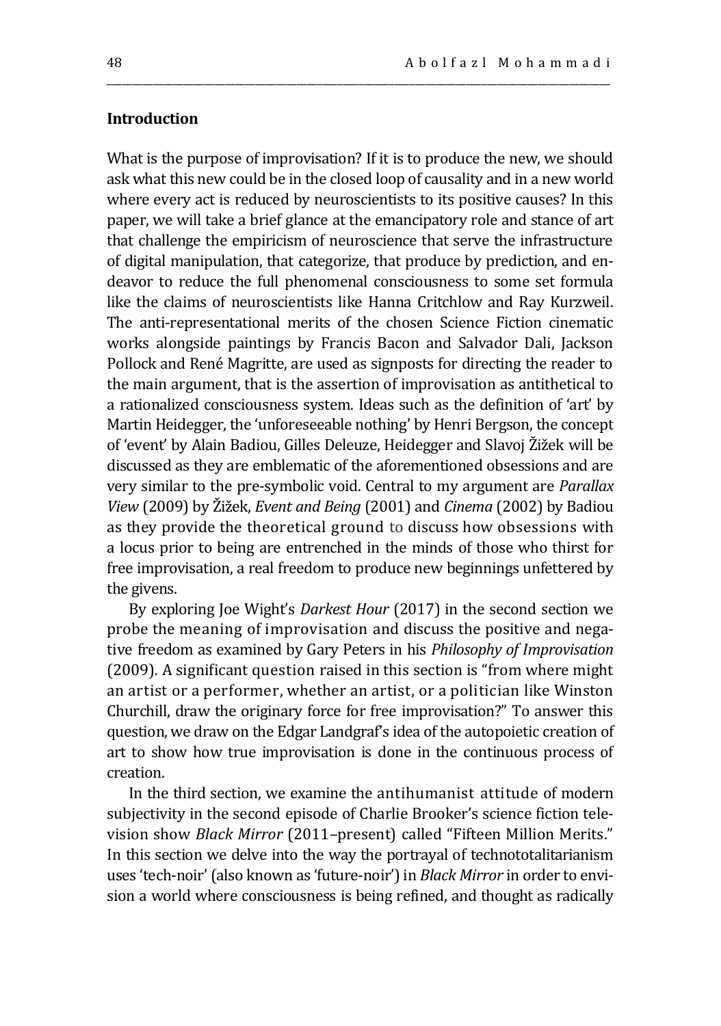## **Introduction**

What is the purpose of improvisation? If it is to produce the new, we should ask what this new could be in the closed loop of causality and in a new world where every act is reduced by neuroscientists to its positive causes? In this paper, we will take a brief glance at the emancipatory role and stance of art that challenge the empiricism of neuroscience that serve the infrastructure of digital manipulation, that categorize, that produce by prediction, and endeavor to reduce the full phenomenal consciousness to some set formula like the claims of neuroscientists like Hanna Critchlow and Ray Kurzweil. The anti-representational merits of the chosen Science Fiction cinematic works alongside paintings by Francis Bacon and Salvador Dali, Jackson Pollock and René Magritte, are used as signposts for directing the reader to the main argument, that is the assertion of improvisation as antithetical to a rationalized consciousness system. Ideas such as the definition of 'art' by Martin Heidegger, the 'unforeseeable nothing' by Henri Bergson, the concept of 'event' by Alain Badiou, Gilles Deleuze, Heidegger and Slavoj Žižek will be discussed as they are emblematic of the aforementioned obsessions and are very similar to the pre-symbolic void. Central to my argument are *Parallax View* (2009) by Žižek, *Event and Being* (2001) and *Cinema* (2002) by Badiou as they provide the theoretical ground to discuss how obsessions with a locus prior to being are entrenched in the minds of those who thirst for free improvisation, a real freedom to produce new beginnings unfettered by the givens.

\_\_\_\_\_\_\_\_\_\_\_\_\_\_\_\_\_\_\_\_\_\_\_\_\_\_\_\_\_\_\_\_\_\_\_\_\_\_\_\_\_\_\_\_\_\_\_\_\_\_\_\_\_\_\_\_\_\_\_\_\_\_\_\_\_\_\_\_\_\_\_\_\_\_\_\_\_\_\_\_\_\_\_\_\_\_\_\_\_\_\_\_\_\_\_\_\_\_

By exploring Joe Wight's *Darkest Hour* (2017) in the second section we probe the meaning of improvisation and discuss the positive and negative freedom as examined by Gary Peters in his *Philosophy of Improvisation*  (2009)*.* A significant question raised in this section is "from where might an artist or a performer, whether an artist, or a politician like Winston Churchill, draw the originary force for free improvisation?" To answer this question, we draw on the Edgar Landgraf's idea of the autopoietic creation of art to show how true improvisation is done in the continuous process of creation.

In the third section, we examine the antihumanist attitude of modern subjectivity in the second episode of Charlie Brooker's science fiction television show *Black Mirror* (2011–present) called "Fifteen Million Merits." In this section we delve into the way the portrayal of technototalitarianism uses 'tech-noir' (also known as 'future-noir') in *Black Mirror* in order to envision a world where consciousness is being refined, and thought as radically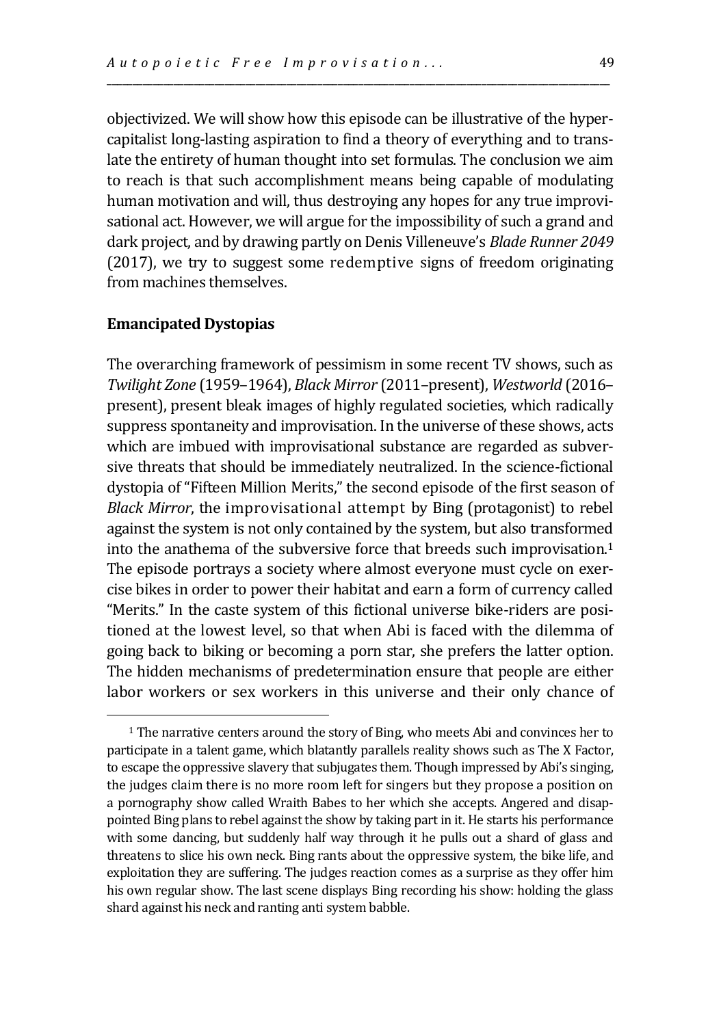objectivized. We will show how this episode can be illustrative of the hypercapitalist long-lasting aspiration to find a theory of everything and to translate the entirety of human thought into set formulas. The conclusion we aim to reach is that such accomplishment means being capable of modulating human motivation and will, thus destroying any hopes for any true improvisational act. However, we will argue for the impossibility of such a grand and dark project, and by drawing partly on Denis Villeneuve's *Blade Runner 2049* (2017), we try to suggest some redemptive signs of freedom originating from machines themselves.

\_\_\_\_\_\_\_\_\_\_\_\_\_\_\_\_\_\_\_\_\_\_\_\_\_\_\_\_\_\_\_\_\_\_\_\_\_\_\_\_\_\_\_\_\_\_\_\_\_\_\_\_\_\_\_\_\_\_\_\_\_\_\_\_\_\_\_\_\_\_\_\_\_\_\_\_\_\_\_\_\_\_\_\_\_\_\_\_\_\_\_\_\_\_\_\_\_\_

### **Emancipated Dystopias**

 $\overline{a}$ 

The overarching framework of pessimism in some recent TV shows, such as *Twilight Zone* (1959–1964), *Black Mirror* (2011–present), *Westworld* (2016– present), present bleak images of highly regulated societies, which radically suppress spontaneity and improvisation. In the universe of these shows, acts which are imbued with improvisational substance are regarded as subversive threats that should be immediately neutralized. In the science-fictional dystopia of "Fifteen Million Merits," the second episode of the first season of *Black Mirror*, the improvisational attempt by Bing (protagonist) to rebel against the system is not only contained by the system, but also transformed into the anathema of the subversive force that breeds such improvisation.<sup>1</sup> The episode portrays a society where almost everyone must cycle on exercise bikes in order to power their habitat and earn a form of currency called "Merits." In the caste system of this fictional universe bike-riders are positioned at the lowest level, so that when Abi is faced with the dilemma of going back to biking or becoming a porn star, she prefers the latter option. The hidden mechanisms of predetermination ensure that people are either labor workers or sex workers in this universe and their only chance of

<sup>1</sup> The narrative centers around the story of Bing, who meets Abi and convinces her to participate in a talent game, which blatantly parallels reality shows such as The X Factor, to escape the oppressive slavery that subjugates them. Though impressed by Abi's singing, the judges claim there is no more room left for singers but they propose a position on a pornography show called Wraith Babes to her which she accepts. Angered and disappointed Bing plans to rebel against the show by taking part in it. He starts his performance with some dancing, but suddenly half way through it he pulls out a shard of glass and threatens to slice his own neck. Bing rants about the oppressive system, the bike life, and exploitation they are suffering. The judges reaction comes as a surprise as they offer him his own regular show. The last scene displays Bing recording his show: holding the glass shard against his neck and ranting anti system babble.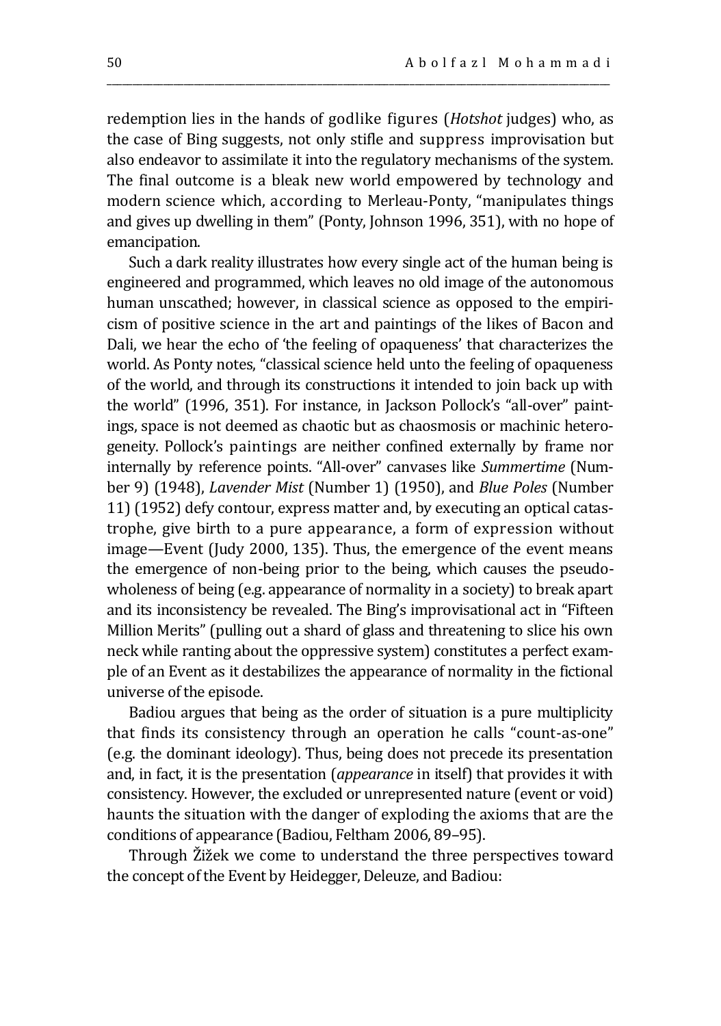redemption lies in the hands of godlike figures (*Hotshot* judges) who, as the case of Bing suggests, not only stifle and suppress improvisation but also endeavor to assimilate it into the regulatory mechanisms of the system. The final outcome is a bleak new world empowered by technology and modern science which, according to Merleau-Ponty, "manipulates things and gives up dwelling in them" (Ponty, Johnson 1996, 351), with no hope of emancipation.

\_\_\_\_\_\_\_\_\_\_\_\_\_\_\_\_\_\_\_\_\_\_\_\_\_\_\_\_\_\_\_\_\_\_\_\_\_\_\_\_\_\_\_\_\_\_\_\_\_\_\_\_\_\_\_\_\_\_\_\_\_\_\_\_\_\_\_\_\_\_\_\_\_\_\_\_\_\_\_\_\_\_\_\_\_\_\_\_\_\_\_\_\_\_\_\_\_\_

Such a dark reality illustrates how every single act of the human being is engineered and programmed, which leaves no old image of the autonomous human unscathed; however, in classical science as opposed to the empiricism of positive science in the art and paintings of the likes of Bacon and Dali, we hear the echo of 'the feeling of opaqueness' that characterizes the world. As Ponty notes, "classical science held unto the feeling of opaqueness of the world, and through its constructions it intended to join back up with the world" (1996, 351). For instance, in Jackson Pollock's "all-over" paintings, space is not deemed as chaotic but as chaosmosis or machinic heterogeneity. Pollock's paintings are neither confined externally by frame nor internally by reference points. "All-over" canvases like *Summertime* (Number 9) (1948), *Lavender Mist* (Number 1) (1950), and *Blue Poles* (Number 11) (1952) defy contour, express matter and, by executing an optical catastrophe, give birth to a pure appearance, a form of expression without image—Event (Judy 2000, 135). Thus, the emergence of the event means the emergence of non-being prior to the being, which causes the pseudowholeness of being (e.g. appearance of normality in a society) to break apart and its inconsistency be revealed. The Bing's improvisational act in "Fifteen Million Merits" (pulling out a shard of glass and threatening to slice his own neck while ranting about the oppressive system) constitutes a perfect example of an Event as it destabilizes the appearance of normality in the fictional universe of the episode.

Badiou argues that being as the order of situation is a pure multiplicity that finds its consistency through an operation he calls "count-as-one" (e.g. the dominant ideology). Thus, being does not precede its presentation and, in fact, it is the presentation (*appearance* in itself) that provides it with consistency. However, the excluded or unrepresented nature (event or void) haunts the situation with the danger of exploding the axioms that are the conditions of appearance (Badiou, Feltham 2006, 89–95).

Through Žižek we come to understand the three perspectives toward the concept of the Event by Heidegger, Deleuze, and Badiou: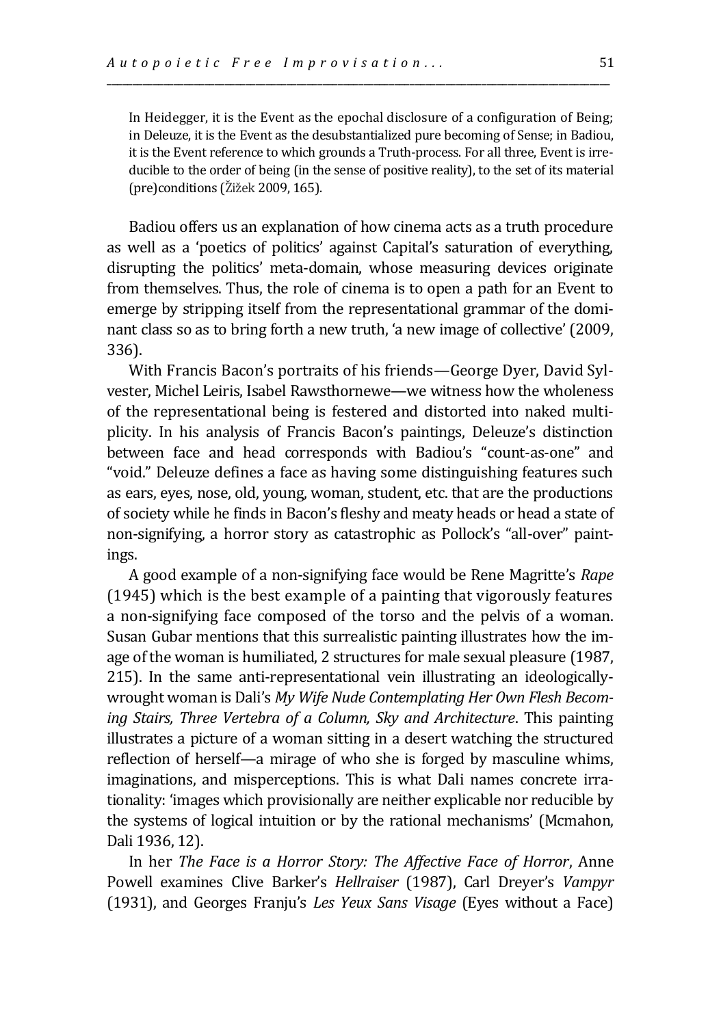In Heidegger, it is the Event as the epochal disclosure of a configuration of Being; in Deleuze, it is the Event as the desubstantialized pure becoming of Sense; in Badiou, it is the Event reference to which grounds a Truth-process. For all three, Event is irreducible to the order of being (in the sense of positive reality), to the set of its material  $pre)$ conditions (Žižek 2009, 165).

\_\_\_\_\_\_\_\_\_\_\_\_\_\_\_\_\_\_\_\_\_\_\_\_\_\_\_\_\_\_\_\_\_\_\_\_\_\_\_\_\_\_\_\_\_\_\_\_\_\_\_\_\_\_\_\_\_\_\_\_\_\_\_\_\_\_\_\_\_\_\_\_\_\_\_\_\_\_\_\_\_\_\_\_\_\_\_\_\_\_\_\_\_\_\_\_\_\_

Badiou offers us an explanation of how cinema acts as a truth procedure as well as a 'poetics of politics' against Capital's saturation of everything, disrupting the politics' meta-domain, whose measuring devices originate from themselves. Thus, the role of cinema is to open a path for an Event to emerge by stripping itself from the representational grammar of the dominant class so as to bring forth a new truth, 'a new image of collective' (2009, 336).

With Francis Bacon's portraits of his friends—George Dyer, David Sylvester, Michel Leiris, Isabel Rawsthornewe—we witness how the wholeness of the representational being is festered and distorted into naked multiplicity. In his analysis of Francis Bacon's paintings, Deleuze's distinction between face and head corresponds with Badiou's "count-as-one" and "void." Deleuze defines a face as having some distinguishing features such as ears, eyes, nose, old, young, woman, student, etc. that are the productions of society while he finds in Bacon's fleshy and meaty heads or head a state of non-signifying, a horror story as catastrophic as Pollock's "all-over" paintings.

A good example of a non-signifying face would be Rene Magritte's *Rape*  (1945) which is the best example of a painting that vigorously features a non-signifying face composed of the torso and the pelvis of a woman. Susan Gubar mentions that this surrealistic painting illustrates how the image of the woman is humiliated, 2 structures for male sexual pleasure (1987, 215). In the same anti-representational vein illustrating an ideologicallywrought woman is Dali's *My Wife Nude Contemplating Her Own Flesh Becoming Stairs, Three Vertebra of a Column, Sky and Architecture*. This painting illustrates a picture of a woman sitting in a desert watching the structured reflection of herself—a mirage of who she is forged by masculine whims, imaginations, and misperceptions. This is what Dali names concrete irrationality: 'images which provisionally are neither explicable nor reducible by the systems of logical intuition or by the rational mechanisms' (Mcmahon, Dali 1936, 12).

In her *The Face is a Horror Story: The Affective Face of Horror*, Anne Powell examines Clive Barker's *Hellraiser* (1987), Carl Dreyer's *Vampyr* (1931), and Georges Franju's *Les Yeux Sans Visage* (Eyes without a Face)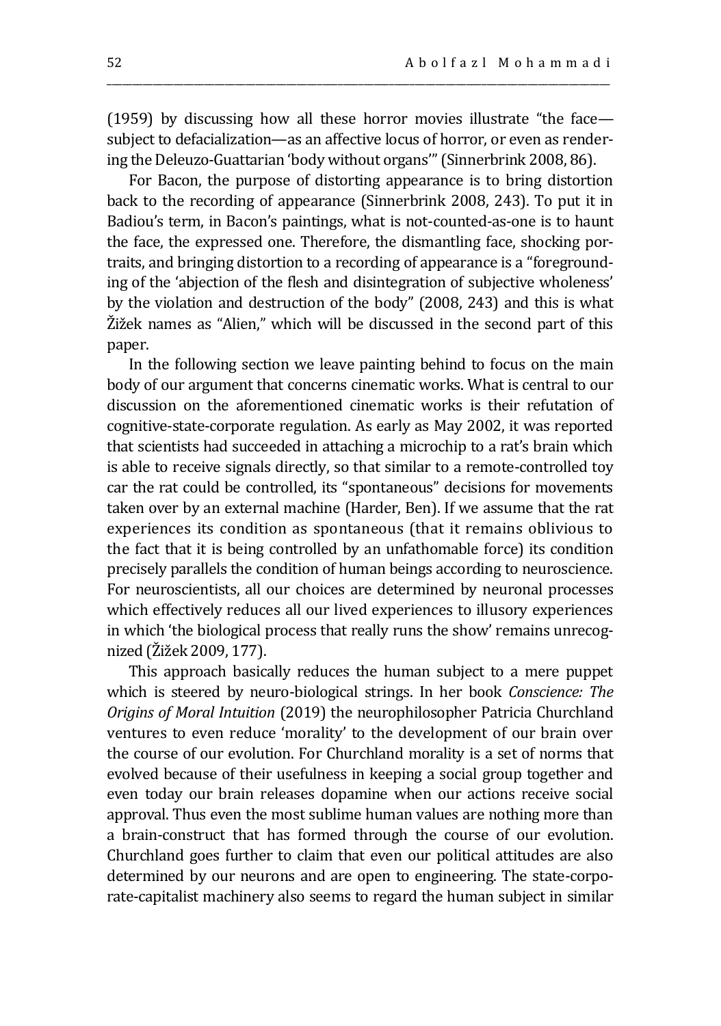(1959) by discussing how all these horror movies illustrate "the face subject to defacialization—as an affective locus of horror, or even as rendering the Deleuzo-Guattarian 'body without organs'" (Sinnerbrink 2008, 86).

\_\_\_\_\_\_\_\_\_\_\_\_\_\_\_\_\_\_\_\_\_\_\_\_\_\_\_\_\_\_\_\_\_\_\_\_\_\_\_\_\_\_\_\_\_\_\_\_\_\_\_\_\_\_\_\_\_\_\_\_\_\_\_\_\_\_\_\_\_\_\_\_\_\_\_\_\_\_\_\_\_\_\_\_\_\_\_\_\_\_\_\_\_\_\_\_\_\_

For Bacon, the purpose of distorting appearance is to bring distortion back to the recording of appearance (Sinnerbrink 2008, 243). To put it in Badiou's term, in Bacon's paintings, what is not-counted-as-one is to haunt the face, the expressed one. Therefore, the dismantling face, shocking portraits, and bringing distortion to a recording of appearance is a "foregrounding of the 'abjection of the flesh and disintegration of subjective wholeness' by the violation and destruction of the body" (2008, 243) and this is what Žižek names as "Alien," which will be discussed in the second part of this paper.

In the following section we leave painting behind to focus on the main body of our argument that concerns cinematic works. What is central to our discussion on the aforementioned cinematic works is their refutation of cognitive-state-corporate regulation. As early as May 2002, it was reported that scientists had succeeded in attaching a microchip to a rat's brain which is able to receive signals directly, so that similar to a remote-controlled toy car the rat could be controlled, its "spontaneous" decisions for movements taken over by an external machine (Harder, Ben). If we assume that the rat experiences its condition as spontaneous (that it remains oblivious to the fact that it is being controlled by an unfathomable force) its condition precisely parallels the condition of human beings according to neuroscience. For neuroscientists, all our choices are determined by neuronal processes which effectively reduces all our lived experiences to illusory experiences in which 'the biological process that really runs the show' remains unrecognized (Žižek 2009, 177).

This approach basically reduces the human subject to a mere puppet which is steered by neuro-biological strings. In her book *Conscience: The Origins of Moral Intuition* (2019) the neurophilosopher Patricia Churchland ventures to even reduce 'morality' to the development of our brain over the course of our evolution. For Churchland morality is a set of norms that evolved because of their usefulness in keeping a social group together and even today our brain releases dopamine when our actions receive social approval. Thus even the most sublime human values are nothing more than a brain-construct that has formed through the course of our evolution. Churchland goes further to claim that even our political attitudes are also determined by our neurons and are open to engineering. The state-corporate-capitalist machinery also seems to regard the human subject in similar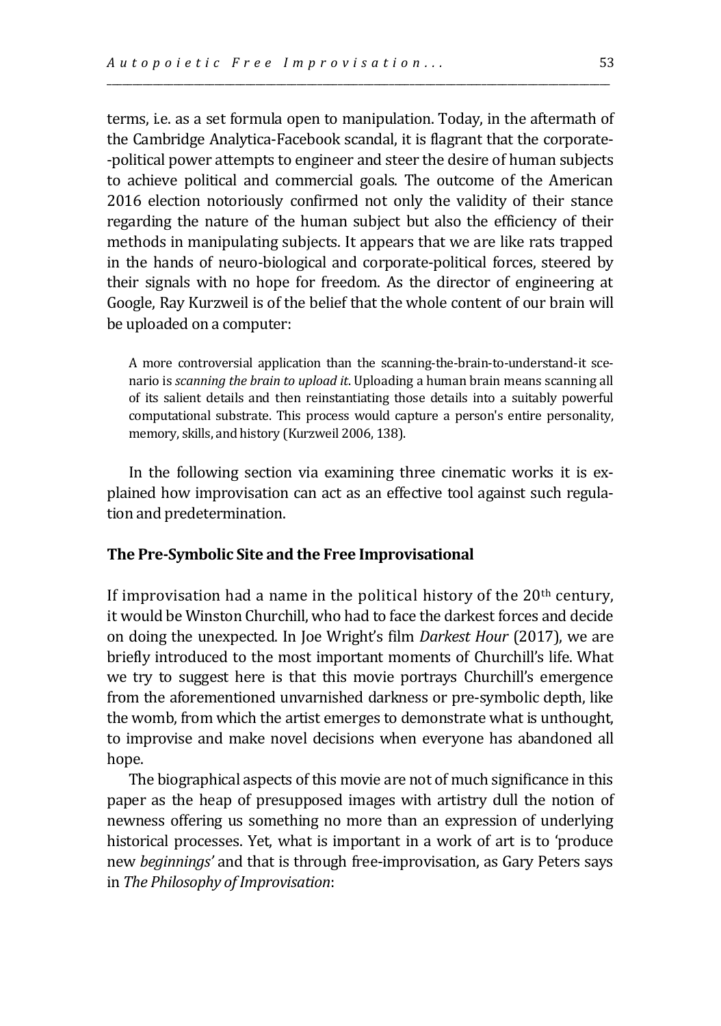terms, i.e. as a set formula open to manipulation. Today, in the aftermath of the Cambridge Analytica-Facebook scandal, it is flagrant that the corporate- -political power attempts to engineer and steer the desire of human subjects to achieve political and commercial goals. The outcome of the American 2016 election notoriously confirmed not only the validity of their stance regarding the nature of the human subject but also the efficiency of their methods in manipulating subjects. It appears that we are like rats trapped in the hands of neuro-biological and corporate-political forces, steered by their signals with no hope for freedom. As the director of engineering at Google, Ray Kurzweil is of the belief that the whole content of our brain will be uploaded on a computer:

\_\_\_\_\_\_\_\_\_\_\_\_\_\_\_\_\_\_\_\_\_\_\_\_\_\_\_\_\_\_\_\_\_\_\_\_\_\_\_\_\_\_\_\_\_\_\_\_\_\_\_\_\_\_\_\_\_\_\_\_\_\_\_\_\_\_\_\_\_\_\_\_\_\_\_\_\_\_\_\_\_\_\_\_\_\_\_\_\_\_\_\_\_\_\_\_\_\_

A more controversial application than the scanning-the-brain-to-understand-it scenario is *scanning the brain to upload it*. Uploading a human brain means scanning all of its salient details and then reinstantiating those details into a suitably powerful computational substrate. This process would capture a person's entire personality, memory, skills, and history (Kurzweil 2006, 138).

In the following section via examining three cinematic works it is explained how improvisation can act as an effective tool against such regulation and predetermination.

#### **The Pre-Symbolic Site and the Free Improvisational**

If improvisation had a name in the political history of the  $20<sup>th</sup>$  century, it would be Winston Churchill, who had to face the darkest forces and decide on doing the unexpected. In Joe Wright's film *Darkest Hour* (2017), we are briefly introduced to the most important moments of Churchill's life. What we try to suggest here is that this movie portrays Churchill's emergence from the aforementioned unvarnished darkness or pre-symbolic depth, like the womb, from which the artist emerges to demonstrate what is unthought, to improvise and make novel decisions when everyone has abandoned all hope.

The biographical aspects of this movie are not of much significance in this paper as the heap of presupposed images with artistry dull the notion of newness offering us something no more than an expression of underlying historical processes. Yet, what is important in a work of art is to 'produce new *beginnings'* and that is through free-improvisation, as Gary Peters says in *The Philosophy of Improvisation*: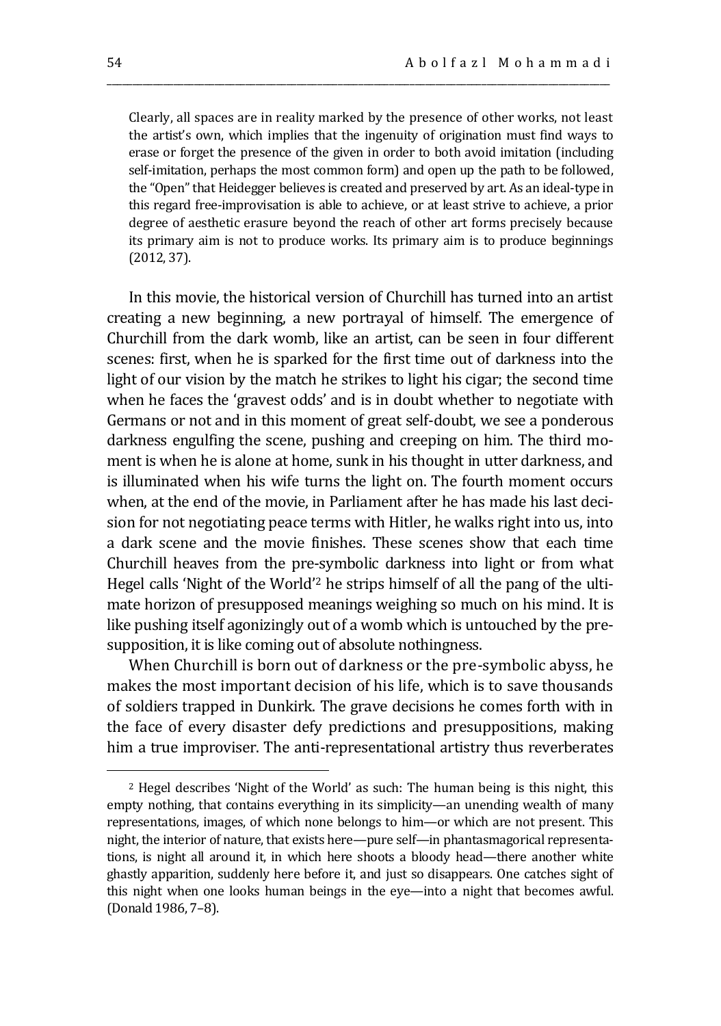Clearly, all spaces are in reality marked by the presence of other works, not least the artist's own, which implies that the ingenuity of origination must find ways to erase or forget the presence of the given in order to both avoid imitation (including self-imitation, perhaps the most common form) and open up the path to be followed, the "Open" that Heidegger believes is created and preserved by art. As an ideal-type in this regard free-improvisation is able to achieve, or at least strive to achieve, a prior degree of aesthetic erasure beyond the reach of other art forms precisely because its primary aim is not to produce works. Its primary aim is to produce beginnings (2012, 37).

\_\_\_\_\_\_\_\_\_\_\_\_\_\_\_\_\_\_\_\_\_\_\_\_\_\_\_\_\_\_\_\_\_\_\_\_\_\_\_\_\_\_\_\_\_\_\_\_\_\_\_\_\_\_\_\_\_\_\_\_\_\_\_\_\_\_\_\_\_\_\_\_\_\_\_\_\_\_\_\_\_\_\_\_\_\_\_\_\_\_\_\_\_\_\_\_\_\_

In this movie, the historical version of Churchill has turned into an artist creating a new beginning, a new portrayal of himself. The emergence of Churchill from the dark womb, like an artist, can be seen in four different scenes: first, when he is sparked for the first time out of darkness into the light of our vision by the match he strikes to light his cigar; the second time when he faces the 'gravest odds' and is in doubt whether to negotiate with Germans or not and in this moment of great self-doubt, we see a ponderous darkness engulfing the scene, pushing and creeping on him. The third moment is when he is alone at home, sunk in his thought in utter darkness, and is illuminated when his wife turns the light on. The fourth moment occurs when, at the end of the movie, in Parliament after he has made his last decision for not negotiating peace terms with Hitler, he walks right into us, into a dark scene and the movie finishes. These scenes show that each time Churchill heaves from the pre-symbolic darkness into light or from what Hegel calls 'Night of the World'<sup>2</sup> he strips himself of all the pang of the ultimate horizon of presupposed meanings weighing so much on his mind. It is like pushing itself agonizingly out of a womb which is untouched by the presupposition, it is like coming out of absolute nothingness.

When Churchill is born out of darkness or the pre-symbolic abyss, he makes the most important decision of his life, which is to save thousands of soldiers trapped in Dunkirk. The grave decisions he comes forth with in the face of every disaster defy predictions and presuppositions, making him a true improviser. The anti-representational artistry thus reverberates

 $\overline{a}$ 

<sup>2</sup> Hegel describes 'Night of the World' as such: The human being is this night, this empty nothing, that contains everything in its simplicity—an unending wealth of many representations, images, of which none belongs to him—or which are not present. This night, the interior of nature, that exists here—pure self—in phantasmagorical representations, is night all around it, in which here shoots a bloody head—there another white ghastly apparition, suddenly here before it, and just so disappears. One catches sight of this night when one looks human beings in the eye—into a night that becomes awful. (Donald 1986, 7–8).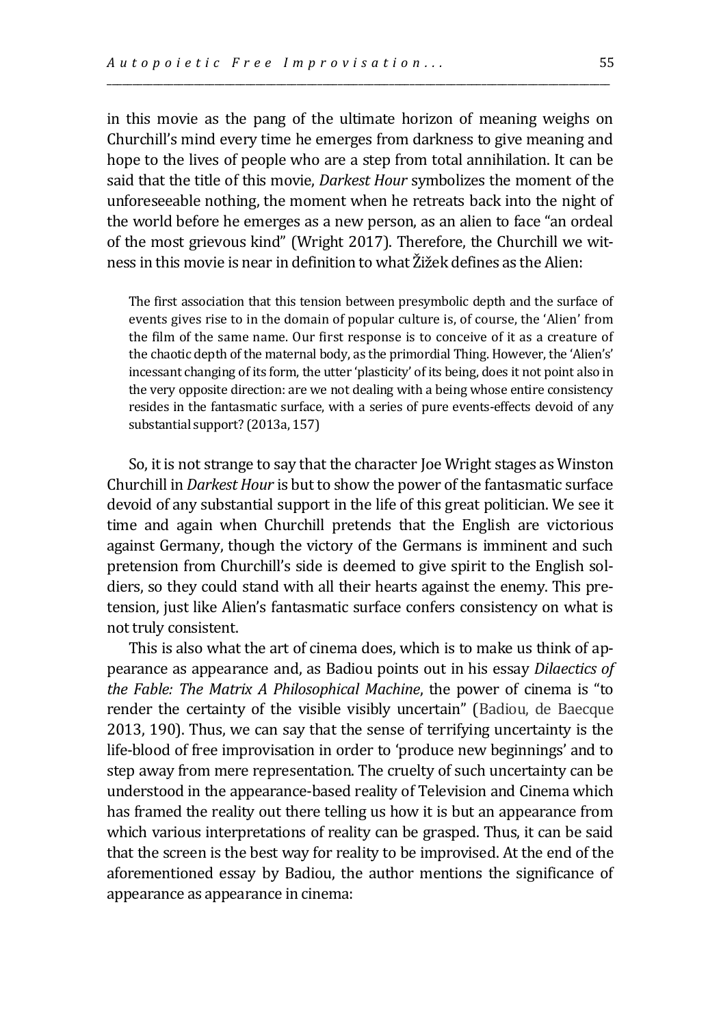in this movie as the pang of the ultimate horizon of meaning weighs on Churchill's mind every time he emerges from darkness to give meaning and hope to the lives of people who are a step from total annihilation. It can be said that the title of this movie, *Darkest Hour* symbolizes the moment of the unforeseeable nothing, the moment when he retreats back into the night of the world before he emerges as a new person, as an alien to face "an ordeal of the most grievous kind" (Wright 2017). Therefore, the Churchill we witness in this movie is near in definition to what Žižek defines as the Alien:

\_\_\_\_\_\_\_\_\_\_\_\_\_\_\_\_\_\_\_\_\_\_\_\_\_\_\_\_\_\_\_\_\_\_\_\_\_\_\_\_\_\_\_\_\_\_\_\_\_\_\_\_\_\_\_\_\_\_\_\_\_\_\_\_\_\_\_\_\_\_\_\_\_\_\_\_\_\_\_\_\_\_\_\_\_\_\_\_\_\_\_\_\_\_\_\_\_\_

The first association that this tension between presymbolic depth and the surface of events gives rise to in the domain of popular culture is, of course, the 'Alien' from the film of the same name. Our first response is to conceive of it as a creature of the chaotic depth of the maternal body, as the primordial Thing. However, the 'Alien's' incessant changing of its form, the utter 'plasticity' of its being, does it not point also in the very opposite direction: are we not dealing with a being whose entire consistency resides in the fantasmatic surface, with a series of pure events-effects devoid of any substantial support? (2013a, 157)

So, it is not strange to say that the character Joe Wright stages as Winston Churchill in *Darkest Hour* is but to show the power of the fantasmatic surface devoid of any substantial support in the life of this great politician. We see it time and again when Churchill pretends that the English are victorious against Germany, though the victory of the Germans is imminent and such pretension from Churchill's side is deemed to give spirit to the English soldiers, so they could stand with all their hearts against the enemy. This pretension, just like Alien's fantasmatic surface confers consistency on what is not truly consistent.

This is also what the art of cinema does, which is to make us think of appearance as appearance and, as Badiou points out in his essay *Dilaectics of the Fable: The Matrix A Philosophical Machine*, the power of cinema is "to render the certainty of the visible visibly uncertain" (Badiou, de Baecque 2013, 190). Thus, we can say that the sense of terrifying uncertainty is the life-blood of free improvisation in order to 'produce new beginnings' and to step away from mere representation. The cruelty of such uncertainty can be understood in the appearance-based reality of Television and Cinema which has framed the reality out there telling us how it is but an appearance from which various interpretations of reality can be grasped. Thus, it can be said that the screen is the best way for reality to be improvised. At the end of the aforementioned essay by Badiou, the author mentions the significance of appearance as appearance in cinema: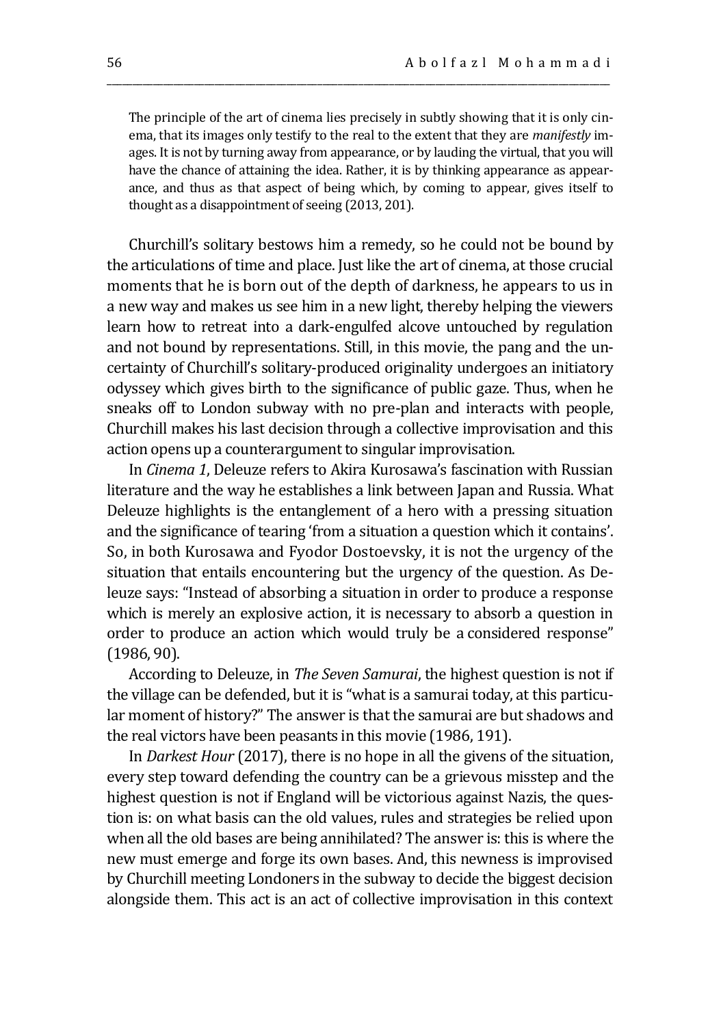The principle of the art of cinema lies precisely in subtly showing that it is only cinema, that its images only testify to the real to the extent that they are *manifestly* images. It is not by turning away from appearance, or by lauding the virtual, that you will have the chance of attaining the idea. Rather, it is by thinking appearance as appearance, and thus as that aspect of being which, by coming to appear, gives itself to thought as a disappointment of seeing (2013, 201).

\_\_\_\_\_\_\_\_\_\_\_\_\_\_\_\_\_\_\_\_\_\_\_\_\_\_\_\_\_\_\_\_\_\_\_\_\_\_\_\_\_\_\_\_\_\_\_\_\_\_\_\_\_\_\_\_\_\_\_\_\_\_\_\_\_\_\_\_\_\_\_\_\_\_\_\_\_\_\_\_\_\_\_\_\_\_\_\_\_\_\_\_\_\_\_\_\_\_

Churchill's solitary bestows him a remedy, so he could not be bound by the articulations of time and place. Just like the art of cinema, at those crucial moments that he is born out of the depth of darkness, he appears to us in a new way and makes us see him in a new light, thereby helping the viewers learn how to retreat into a dark-engulfed alcove untouched by regulation and not bound by representations. Still, in this movie, the pang and the uncertainty of Churchill's solitary-produced originality undergoes an initiatory odyssey which gives birth to the significance of public gaze. Thus, when he sneaks off to London subway with no pre-plan and interacts with people, Churchill makes his last decision through a collective improvisation and this action opens up a counterargument to singular improvisation.

In *Cinema 1*, Deleuze refers to Akira Kurosawa's fascination with Russian literature and the way he establishes a link between Japan and Russia. What Deleuze highlights is the entanglement of a hero with a pressing situation and the significance of tearing 'from a situation a question which it contains'. So, in both Kurosawa and Fyodor Dostoevsky, it is not the urgency of the situation that entails encountering but the urgency of the question. As Deleuze says: "Instead of absorbing a situation in order to produce a response which is merely an explosive action, it is necessary to absorb a question in order to produce an action which would truly be a considered response" (1986, 90).

According to Deleuze, in *The Seven Samurai*, the highest question is not if the village can be defended, but it is "what is a samurai today, at this particular moment of history?" The answer is that the samurai are but shadows and the real victors have been peasants in this movie (1986, 191).

In *Darkest Hour* (2017), there is no hope in all the givens of the situation, every step toward defending the country can be a grievous misstep and the highest question is not if England will be victorious against Nazis, the question is: on what basis can the old values, rules and strategies be relied upon when all the old bases are being annihilated? The answer is: this is where the new must emerge and forge its own bases. And, this newness is improvised by Churchill meeting Londoners in the subway to decide the biggest decision alongside them. This act is an act of collective improvisation in this context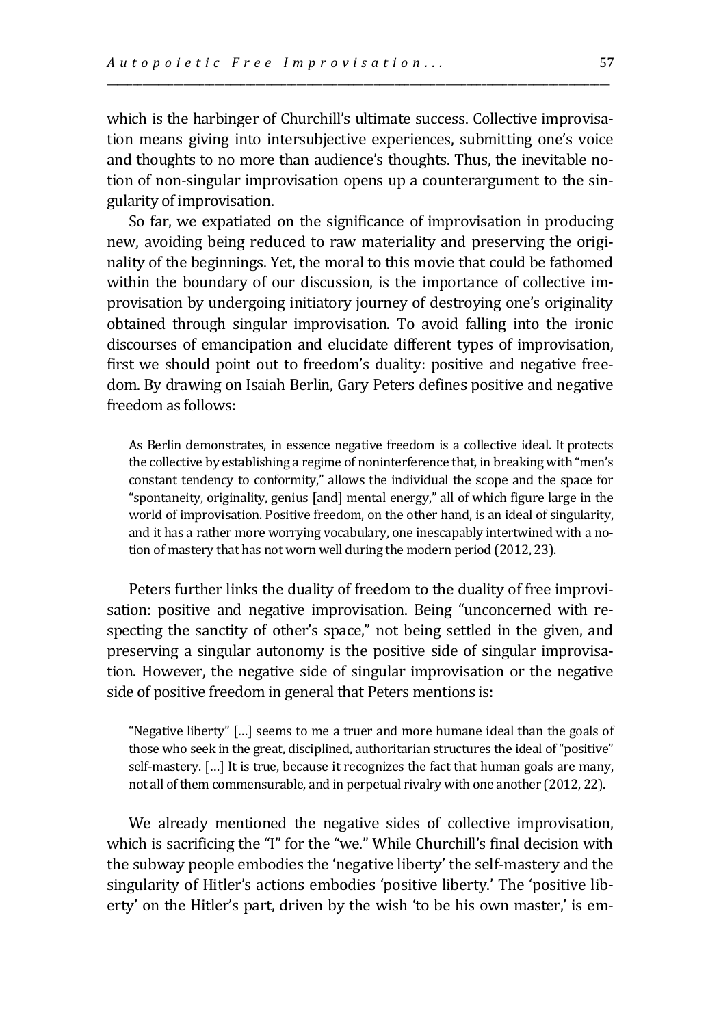which is the harbinger of Churchill's ultimate success. Collective improvisation means giving into intersubjective experiences, submitting one's voice and thoughts to no more than audience's thoughts. Thus, the inevitable notion of non-singular improvisation opens up a counterargument to the singularity of improvisation.

\_\_\_\_\_\_\_\_\_\_\_\_\_\_\_\_\_\_\_\_\_\_\_\_\_\_\_\_\_\_\_\_\_\_\_\_\_\_\_\_\_\_\_\_\_\_\_\_\_\_\_\_\_\_\_\_\_\_\_\_\_\_\_\_\_\_\_\_\_\_\_\_\_\_\_\_\_\_\_\_\_\_\_\_\_\_\_\_\_\_\_\_\_\_\_\_\_\_

So far, we expatiated on the significance of improvisation in producing new, avoiding being reduced to raw materiality and preserving the originality of the beginnings. Yet, the moral to this movie that could be fathomed within the boundary of our discussion, is the importance of collective improvisation by undergoing initiatory journey of destroying one's originality obtained through singular improvisation. To avoid falling into the ironic discourses of emancipation and elucidate different types of improvisation, first we should point out to freedom's duality: positive and negative freedom. By drawing on Isaiah Berlin, Gary Peters defines positive and negative freedom as follows:

As Berlin demonstrates, in essence negative freedom is a collective ideal. It protects the collective by establishing a regime of noninterference that, in breaking with "men's constant tendency to conformity," allows the individual the scope and the space for "spontaneity, originality, genius [and] mental energy," all of which figure large in the world of improvisation. Positive freedom, on the other hand, is an ideal of singularity, and it has a rather more worrying vocabulary, one inescapably intertwined with a notion of mastery that has not worn well during the modern period (2012, 23).

Peters further links the duality of freedom to the duality of free improvisation: positive and negative improvisation. Being "unconcerned with respecting the sanctity of other's space," not being settled in the given, and preserving a singular autonomy is the positive side of singular improvisation. However, the negative side of singular improvisation or the negative side of positive freedom in general that Peters mentions is:

"Negative liberty" […] seems to me a truer and more humane ideal than the goals of those who seek in the great, disciplined, authoritarian structures the ideal of "positive" self-mastery. […] It is true, because it recognizes the fact that human goals are many, not all of them commensurable, and in perpetual rivalry with one another (2012, 22).

We already mentioned the negative sides of collective improvisation, which is sacrificing the "I" for the "we." While Churchill's final decision with the subway people embodies the 'negative liberty' the self-mastery and the singularity of Hitler's actions embodies 'positive liberty.' The 'positive liberty' on the Hitler's part, driven by the wish 'to be his own master,' is em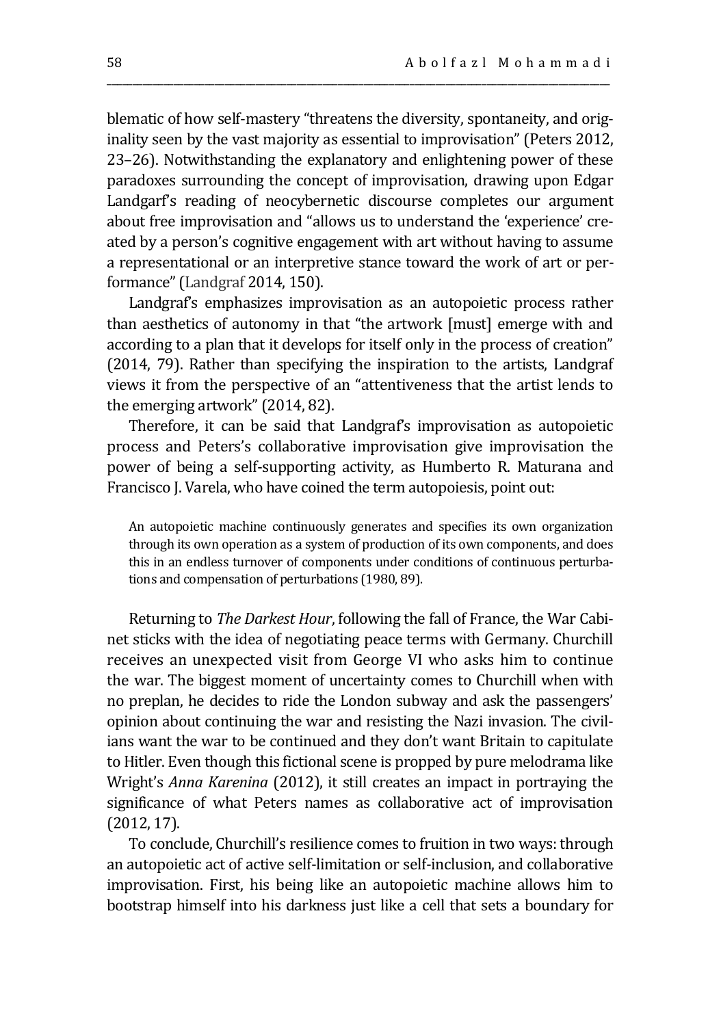blematic of how self-mastery "threatens the diversity, spontaneity, and originality seen by the vast majority as essential to improvisation" (Peters 2012, 23–26). Notwithstanding the explanatory and enlightening power of these paradoxes surrounding the concept of improvisation, drawing upon Edgar Landgarf's reading of neocybernetic discourse completes our argument about free improvisation and "allows us to understand the 'experience' created by a person's cognitive engagement with art without having to assume a representational or an interpretive stance toward the work of art or performance" (Landgraf 2014, 150).

\_\_\_\_\_\_\_\_\_\_\_\_\_\_\_\_\_\_\_\_\_\_\_\_\_\_\_\_\_\_\_\_\_\_\_\_\_\_\_\_\_\_\_\_\_\_\_\_\_\_\_\_\_\_\_\_\_\_\_\_\_\_\_\_\_\_\_\_\_\_\_\_\_\_\_\_\_\_\_\_\_\_\_\_\_\_\_\_\_\_\_\_\_\_\_\_\_\_

Landgraf's emphasizes improvisation as an autopoietic process rather than aesthetics of autonomy in that "the artwork [must] emerge with and according to a plan that it develops for itself only in the process of creation" (2014, 79). Rather than specifying the inspiration to the artists, Landgraf views it from the perspective of an "attentiveness that the artist lends to the emerging artwork" (2014, 82).

Therefore, it can be said that Landgraf's improvisation as autopoietic process and Peters's collaborative improvisation give improvisation the power of being a self-supporting activity, as Humberto R. Maturana and Francisco J. Varela, who have coined the term autopoiesis, point out:

An autopoietic machine continuously generates and specifies its own organization through its own operation as a system of production of its own components, and does this in an endless turnover of components under conditions of continuous perturbations and compensation of perturbations (1980, 89).

Returning to *The Darkest Hour*, following the fall of France, the War Cabinet sticks with the idea of negotiating peace terms with Germany. Churchill receives an unexpected visit from George VI who asks him to continue the war. The biggest moment of uncertainty comes to Churchill when with no preplan, he decides to ride the London subway and ask the passengers' opinion about continuing the war and resisting the Nazi invasion. The civilians want the war to be continued and they don't want Britain to capitulate to Hitler. Even though this fictional scene is propped by pure melodrama like Wright's *Anna Karenina* (2012), it still creates an impact in portraying the significance of what Peters names as collaborative act of improvisation (2012, 17).

To conclude, Churchill's resilience comes to fruition in two ways: through an autopoietic act of active self-limitation or self-inclusion, and collaborative improvisation. First, his being like an autopoietic machine allows him to bootstrap himself into his darkness just like a cell that sets a boundary for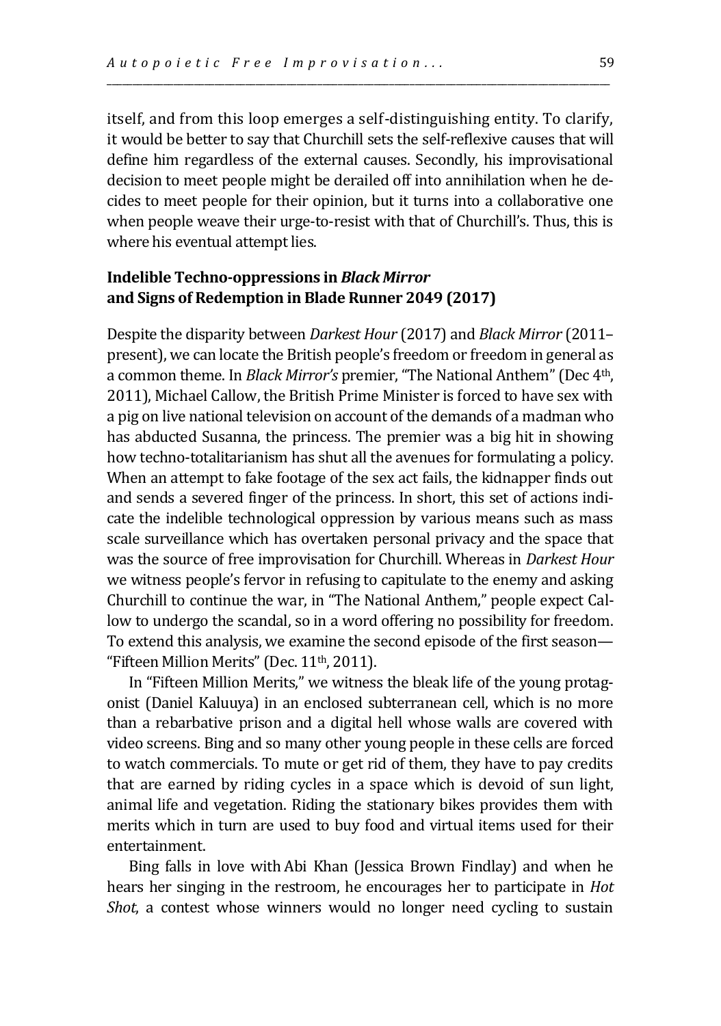itself, and from this loop emerges a self-distinguishing entity. To clarify, it would be better to say that Churchill sets the self-reflexive causes that will define him regardless of the external causes. Secondly, his improvisational decision to meet people might be derailed off into annihilation when he decides to meet people for their opinion, but it turns into a collaborative one when people weave their urge-to-resist with that of Churchill's. Thus, this is where his eventual attempt lies.

\_\_\_\_\_\_\_\_\_\_\_\_\_\_\_\_\_\_\_\_\_\_\_\_\_\_\_\_\_\_\_\_\_\_\_\_\_\_\_\_\_\_\_\_\_\_\_\_\_\_\_\_\_\_\_\_\_\_\_\_\_\_\_\_\_\_\_\_\_\_\_\_\_\_\_\_\_\_\_\_\_\_\_\_\_\_\_\_\_\_\_\_\_\_\_\_\_\_

## **Indelible Techno-oppressions in** *Black Mirror*  **and Signs of Redemption in Blade Runner 2049 (2017)**

Despite the disparity between *Darkest Hour* (2017) and *Black Mirror* (2011– present), we can locate the British people's freedom or freedom in general as a common theme. In *Black Mirror's* premier, "The National Anthem" (Dec 4th, 2011), Michael Callow, the British Prime Minister is forced to have sex with a pig on live national television on account of the demands of a madman who has abducted Susanna, the princess. The premier was a big hit in showing how techno-totalitarianism has shut all the avenues for formulating a policy. When an attempt to fake footage of the sex act fails, the kidnapper finds out and sends a severed finger of the princess. In short, this set of actions indicate the indelible technological oppression by various means such as mass scale surveillance which has overtaken personal privacy and the space that was the source of free improvisation for Churchill. Whereas in *Darkest Hour*  we witness people's fervor in refusing to capitulate to the enemy and asking Churchill to continue the war, in "The National Anthem," people expect Callow to undergo the scandal, so in a word offering no possibility for freedom. To extend this analysis, we examine the second episode of the first season— "Fifteen Million Merits" (Dec. 11<sup>th</sup>, 2011).

In "Fifteen Million Merits," we witness the bleak life of the young protagonist (Daniel Kaluuya) in an enclosed subterranean cell, which is no more than a rebarbative prison and a digital hell whose walls are covered with video screens. Bing and so many other young people in these cells are forced to watch commercials. To mute or get rid of them, they have to pay credits that are earned by riding cycles in a space which is devoid of sun light, animal life and vegetation. Riding the stationary bikes provides them with merits which in turn are used to buy food and virtual items used for their entertainment.

Bing falls in love with Abi Khan [\(Jessica Brown Findlay\)](https://en.wikipedia.org/wiki/Jessica_Brown_Findlay) and when he hears her singing in the restroom, he encourages her to participate in *Hot Shot*, a contest whose winners would no longer need cycling to sustain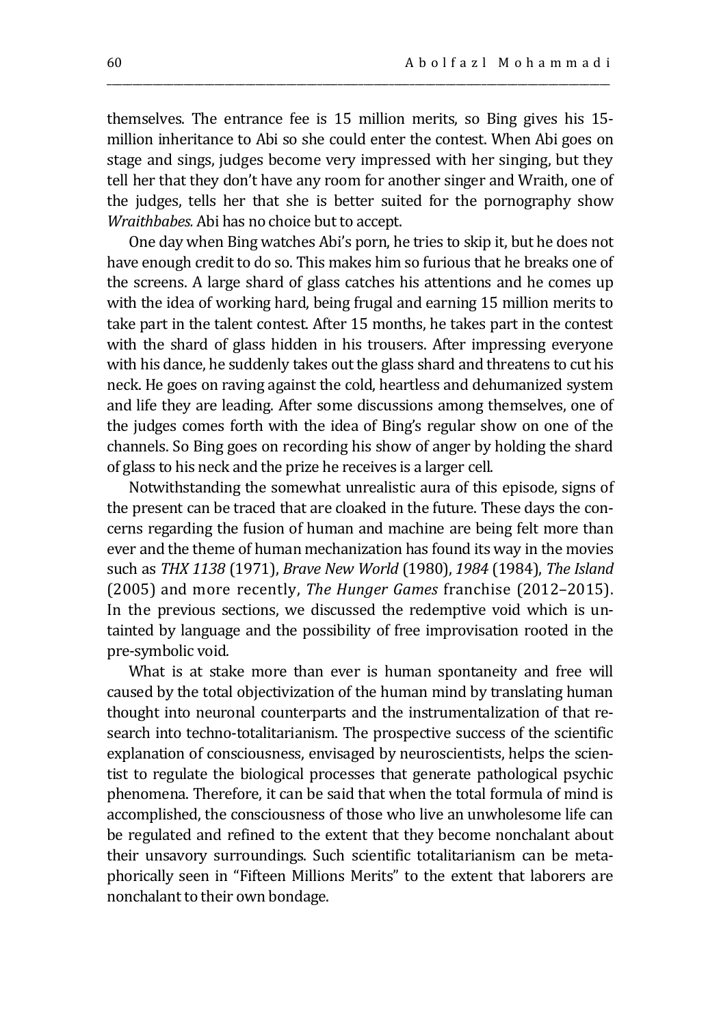themselves. The entrance fee is 15 million merits, so Bing gives his 15 million inheritance to Abi so she could enter the contest. When Abi goes on stage and sings, judges become very impressed with her singing, but they tell her that they don't have any room for another singer and Wraith, one of the judges, tells her that she is better suited for the pornography show *Wraithbabes.* Abi has no choice but to accept.

\_\_\_\_\_\_\_\_\_\_\_\_\_\_\_\_\_\_\_\_\_\_\_\_\_\_\_\_\_\_\_\_\_\_\_\_\_\_\_\_\_\_\_\_\_\_\_\_\_\_\_\_\_\_\_\_\_\_\_\_\_\_\_\_\_\_\_\_\_\_\_\_\_\_\_\_\_\_\_\_\_\_\_\_\_\_\_\_\_\_\_\_\_\_\_\_\_\_

One day when Bing watches Abi's porn, he tries to skip it, but he does not have enough credit to do so. This makes him so furious that he breaks one of the screens. A large shard of glass catches his attentions and he comes up with the idea of working hard, being frugal and earning 15 million merits to take part in the talent contest. After 15 months, he takes part in the contest with the shard of glass hidden in his trousers. After impressing everyone with his dance, he suddenly takes out the glass shard and threatens to cut his neck. He goes on raving against the cold, heartless and dehumanized system and life they are leading. After some discussions among themselves, one of the judges comes forth with the idea of Bing's regular show on one of the channels. So Bing goes on recording his show of anger by holding the shard of glass to his neck and the prize he receives is a larger cell.

Notwithstanding the somewhat unrealistic aura of this episode, signs of the present can be traced that are cloaked in the future. These days the concerns regarding the fusion of human and machine are being felt more than ever and the theme of human mechanization has found its way in the movies such as *THX 1138* (1971), *Brave New World* (1980), *1984* (1984), *The Island*  (2005) and more recently, *The Hunger Games* franchise (2012–2015). In the previous sections, we discussed the redemptive void which is untainted by language and the possibility of free improvisation rooted in the pre-symbolic void.

What is at stake more than ever is human spontaneity and free will caused by the total objectivization of the human mind by translating human thought into neuronal counterparts and the instrumentalization of that research into techno-totalitarianism. The prospective success of the scientific explanation of consciousness, envisaged by neuroscientists, helps the scientist to regulate the biological processes that generate pathological psychic phenomena. Therefore, it can be said that when the total formula of mind is accomplished, the consciousness of those who live an unwholesome life can be regulated and refined to the extent that they become nonchalant about their unsavory surroundings. Such scientific totalitarianism can be metaphorically seen in "Fifteen Millions Merits" to the extent that laborers are nonchalant to their own bondage.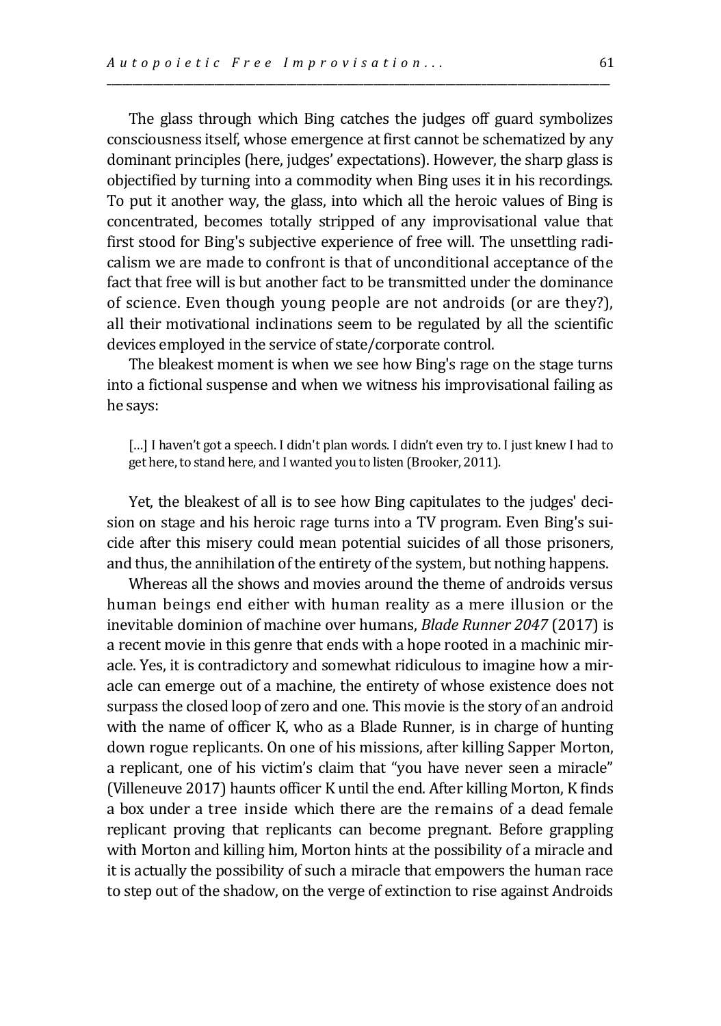The glass through which Bing catches the judges off guard symbolizes consciousness itself, whose emergence at first cannot be schematized by any dominant principles (here, judges' expectations). However, the sharp glass is objectified by turning into a commodity when Bing uses it in his recordings. To put it another way, the glass, into which all the heroic values of Bing is concentrated, becomes totally stripped of any improvisational value that first stood for Bing's subjective experience of free will. The unsettling radicalism we are made to confront is that of unconditional acceptance of the fact that free will is but another fact to be transmitted under the dominance of science. Even though young people are not androids (or are they?), all their motivational inclinations seem to be regulated by all the scientific devices employed in the service of state/corporate control.

\_\_\_\_\_\_\_\_\_\_\_\_\_\_\_\_\_\_\_\_\_\_\_\_\_\_\_\_\_\_\_\_\_\_\_\_\_\_\_\_\_\_\_\_\_\_\_\_\_\_\_\_\_\_\_\_\_\_\_\_\_\_\_\_\_\_\_\_\_\_\_\_\_\_\_\_\_\_\_\_\_\_\_\_\_\_\_\_\_\_\_\_\_\_\_\_\_\_

The bleakest moment is when we see how Bing's rage on the stage turns into a fictional suspense and when we witness his improvisational failing as he says:

[...] I haven't got a speech. I didn't plan words. I didn't even try to. I just knew I had to get here, to stand here, and I wanted you to listen (Brooker, 2011).

Yet, the bleakest of all is to see how Bing capitulates to the judges' decision on stage and his heroic rage turns into a TV program. Even Bing's suicide after this misery could mean potential suicides of all those prisoners, and thus, the annihilation of the entirety of the system, but nothing happens.

Whereas all the shows and movies around the theme of androids versus human beings end either with human reality as a mere illusion or the inevitable dominion of machine over humans, *Blade Runner 2047* (2017) is a recent movie in this genre that ends with a hope rooted in a machinic miracle. Yes, it is contradictory and somewhat ridiculous to imagine how a miracle can emerge out of a machine, the entirety of whose existence does not surpass the closed loop of zero and one. This movie is the story of an android with the name of officer K, who as a Blade Runner, is in charge of hunting down rogue replicants. On one of his missions, after killing Sapper Morton, a replicant, one of his victim's claim that "you have never seen a miracle" (Villeneuve 2017) haunts officer K until the end. After killing Morton, K finds a box under a tree inside which there are the remains of a dead female replicant proving that replicants can become pregnant. Before grappling with Morton and killing him, Morton hints at the possibility of a miracle and it is actually the possibility of such a miracle that empowers the human race to step out of the shadow, on the verge of extinction to rise against Androids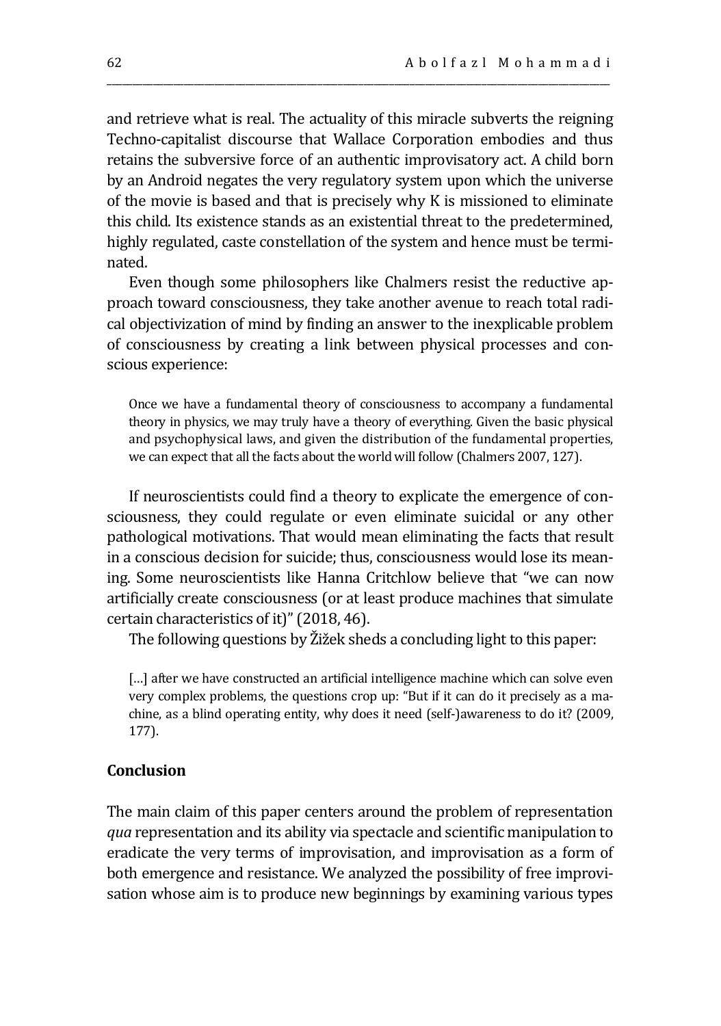and retrieve what is real. The actuality of this miracle subverts the reigning Techno-capitalist discourse that Wallace Corporation embodies and thus retains the subversive force of an authentic improvisatory act. A child born by an Android negates the very regulatory system upon which the universe of the movie is based and that is precisely why K is missioned to eliminate this child. Its existence stands as an existential threat to the predetermined, highly regulated, caste constellation of the system and hence must be terminated.

\_\_\_\_\_\_\_\_\_\_\_\_\_\_\_\_\_\_\_\_\_\_\_\_\_\_\_\_\_\_\_\_\_\_\_\_\_\_\_\_\_\_\_\_\_\_\_\_\_\_\_\_\_\_\_\_\_\_\_\_\_\_\_\_\_\_\_\_\_\_\_\_\_\_\_\_\_\_\_\_\_\_\_\_\_\_\_\_\_\_\_\_\_\_\_\_\_\_

Even though some philosophers like Chalmers resist the reductive approach toward consciousness, they take another avenue to reach total radical objectivization of mind by finding an answer to the inexplicable problem of consciousness by creating a link between physical processes and conscious experience:

Once we have a fundamental theory of consciousness to accompany a fundamental theory in physics, we may truly have a theory of everything. Given the basic physical and psychophysical laws, and given the distribution of the fundamental properties, we can expect that all the facts about the world will follow (Chalmers 2007, 127).

If neuroscientists could find a theory to explicate the emergence of consciousness, they could regulate or even eliminate suicidal or any other pathological motivations. That would mean eliminating the facts that result in a conscious decision for suicide; thus, consciousness would lose its meaning. Some neuroscientists like Hanna Critchlow believe that "we can now artificially create consciousness (or at least produce machines that simulate certain characteristics of it)" (2018, 46).

The following questions by Žižek sheds a concluding light to this paper:

[...] after we have constructed an artificial intelligence machine which can solve even very complex problems, the questions crop up: "But if it can do it precisely as a machine, as a blind operating entity, why does it need (self-)awareness to do it? (2009, 177).

### **Conclusion**

The main claim of this paper centers around the problem of representation *qua* representation and its ability via spectacle and scientific manipulation to eradicate the very terms of improvisation, and improvisation as a form of both emergence and resistance. We analyzed the possibility of free improvisation whose aim is to produce new beginnings by examining various types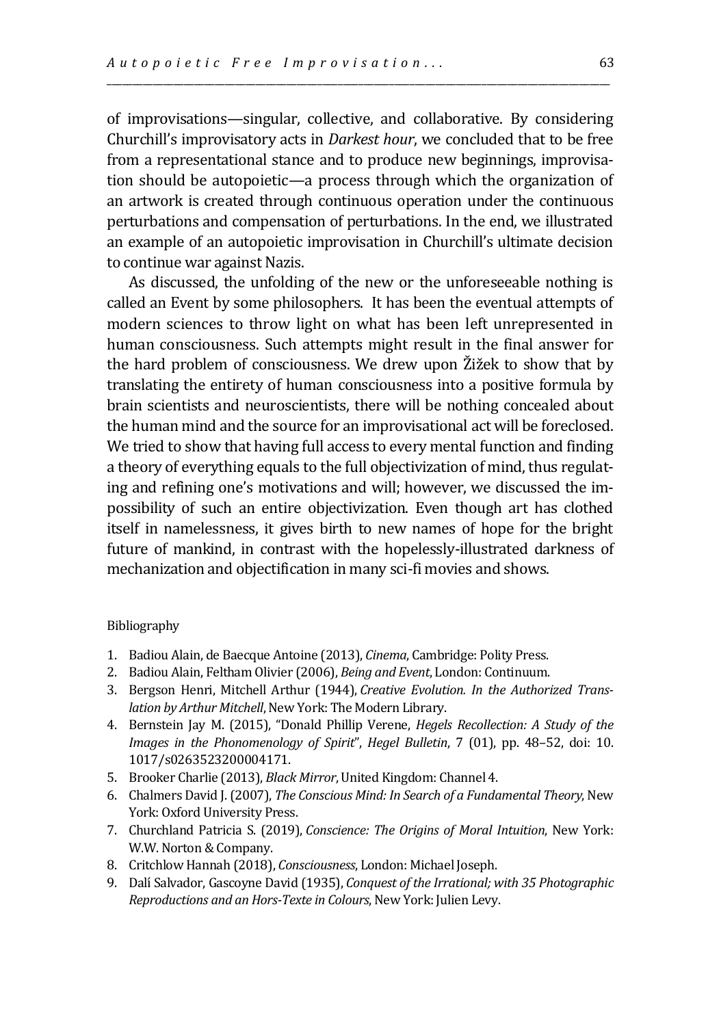of improvisations—singular, collective, and collaborative. By considering Churchill's improvisatory acts in *Darkest hour*, we concluded that to be free from a representational stance and to produce new beginnings, improvisation should be autopoietic—a process through which the organization of an artwork is created through continuous operation under the continuous perturbations and compensation of perturbations. In the end, we illustrated an example of an autopoietic improvisation in Churchill's ultimate decision to continue war against Nazis.

\_\_\_\_\_\_\_\_\_\_\_\_\_\_\_\_\_\_\_\_\_\_\_\_\_\_\_\_\_\_\_\_\_\_\_\_\_\_\_\_\_\_\_\_\_\_\_\_\_\_\_\_\_\_\_\_\_\_\_\_\_\_\_\_\_\_\_\_\_\_\_\_\_\_\_\_\_\_\_\_\_\_\_\_\_\_\_\_\_\_\_\_\_\_\_\_\_\_

As discussed, the unfolding of the new or the unforeseeable nothing is called an Event by some philosophers. It has been the eventual attempts of modern sciences to throw light on what has been left unrepresented in human consciousness. Such attempts might result in the final answer for the hard problem of consciousness. We drew upon Žižek to show that by translating the entirety of human consciousness into a positive formula by brain scientists and neuroscientists, there will be nothing concealed about the human mind and the source for an improvisational act will be foreclosed. We tried to show that having full access to every mental function and finding a theory of everything equals to the full objectivization of mind, thus regulating and refining one's motivations and will; however, we discussed the impossibility of such an entire objectivization. Even though art has clothed itself in namelessness, it gives birth to new names of hope for the bright future of mankind, in contrast with the hopelessly-illustrated darkness of mechanization and objectification in many sci-fi movies and shows.

#### Bibliography

- 1. Badiou Alain, de Baecque Antoine (2013), *Cinema*, Cambridge: Polity Press.
- 2. Badiou Alain, Feltham Olivier (2006), *Being and Event*, London: Continuum.
- 3. Bergson Henri, Mitchell Arthur (1944), *Creative Evolution. In the Authorized Translation by Arthur Mitchell*, New York: The Modern Library.
- 4. Bernstein Jay M. (2015), "Donald Phillip Verene, *Hegels Recollection: A Study of the Images in the Phonomenology of Spirit*", *Hegel Bulletin*, 7 (01), pp. 48–52, doi: 10. 1017/s0263523200004171.
- 5. Brooker Charlie (2013), *Black Mirror*, United Kingdom: Channel 4.
- 6. Chalmers David J. (2007), *The Conscious Mind: In Search of a Fundamental Theory*, New York: Oxford University Press.
- 7. Churchland Patricia S. (2019), *Conscience: The Origins of Moral Intuition*, New York: W.W. Norton & Company.
- 8. Critchlow Hannah (2018), *Consciousness*, London: Michael Joseph.
- 9. Dalí Salvador, Gascoyne David (1935), *Conquest of the Irrational; with 35 Photographic Reproductions and an Hors-Texte in Colours*, New York: Julien Levy.